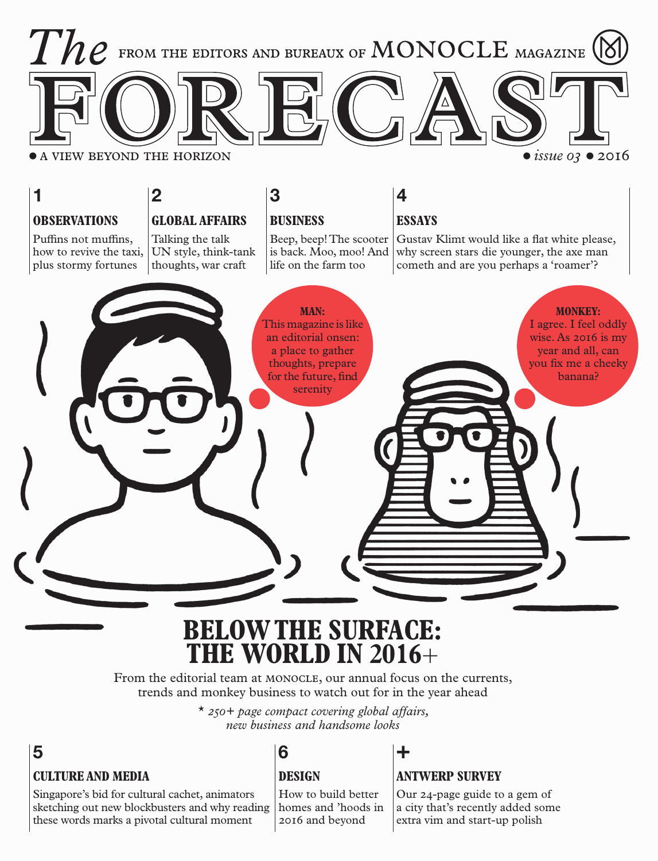

## **BELOW THE SURFACE: THE WORLD IN 2016**+

From the editorial team at MONOCLE, our annual focus on the currents, trends and monkey business to watch out for in the year ahead

> \* *250+ page compact covering global affairs, new business and handsome looks*

## **CULTURE AND MEDIA 5 6 +**

Singapore's bid for cultural cachet, animators sketching out new blockbusters and why reading these words marks a pivotal cultural moment

### **DESIGN**

How to build better homes and 'hoods in 2016 and beyond

### **ANTWERP SURVEY**

Our 24-page guide to a gem of a city that's recently added some extra vim and start-up polish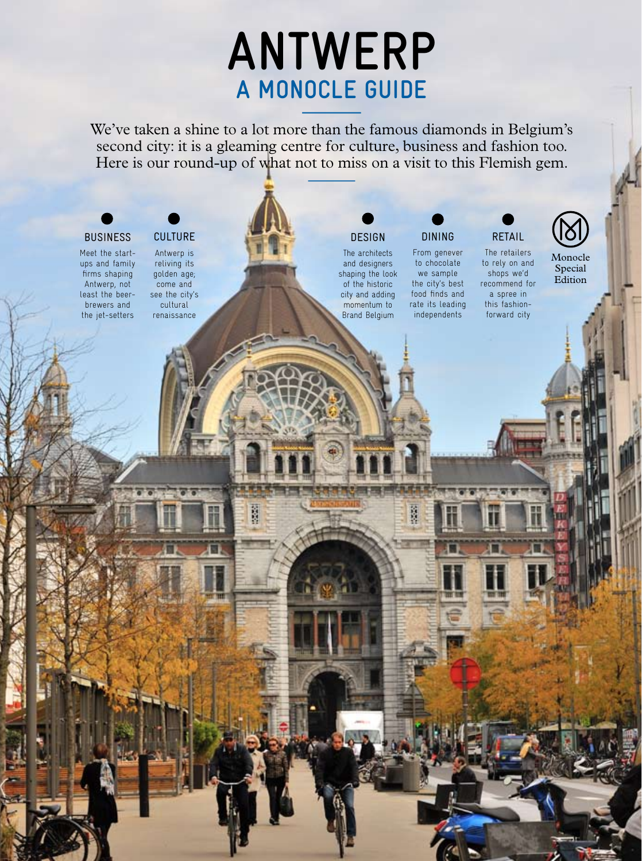# **antwerp** A MONOCLE GUIDE

We've taken a shine to a lot more than the famous diamonds in Belgium's second city: it is a gleaming centre for culture, business and fashion too. Here is our round-up of what not to miss on a visit to this Flemish gem.